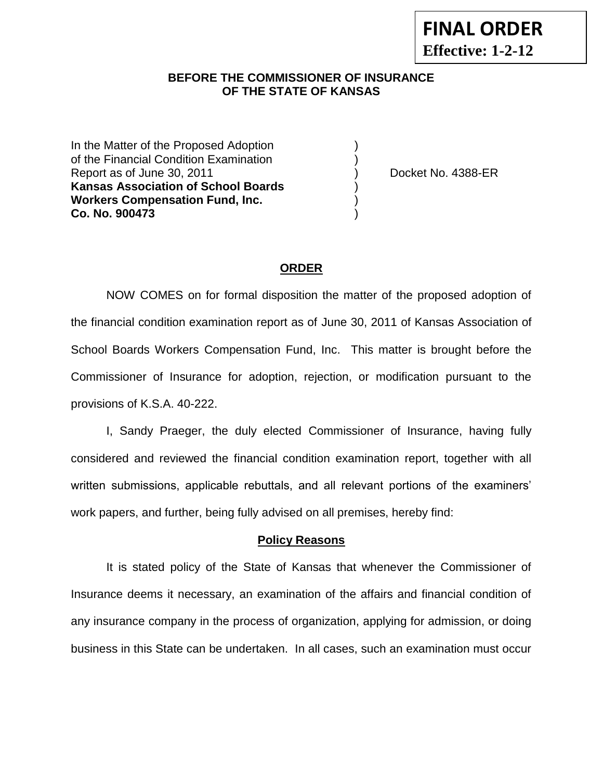#### **BEFORE THE COMMISSIONER OF INSURANCE OF THE STATE OF KANSAS**

In the Matter of the Proposed Adoption of the Financial Condition Examination ) Report as of June 30, 2011 (and the state of the Docket No. 4388-ER **Kansas Association of School Boards** ) **Workers Compensation Fund, Inc.** ) **Co. No. 900473** )

## **ORDER**

NOW COMES on for formal disposition the matter of the proposed adoption of the financial condition examination report as of June 30, 2011 of Kansas Association of School Boards Workers Compensation Fund, Inc. This matter is brought before the Commissioner of Insurance for adoption, rejection, or modification pursuant to the provisions of K.S.A. 40-222.

I, Sandy Praeger, the duly elected Commissioner of Insurance, having fully considered and reviewed the financial condition examination report, together with all written submissions, applicable rebuttals, and all relevant portions of the examiners' work papers, and further, being fully advised on all premises, hereby find:

#### **Policy Reasons**

It is stated policy of the State of Kansas that whenever the Commissioner of Insurance deems it necessary, an examination of the affairs and financial condition of any insurance company in the process of organization, applying for admission, or doing business in this State can be undertaken. In all cases, such an examination must occur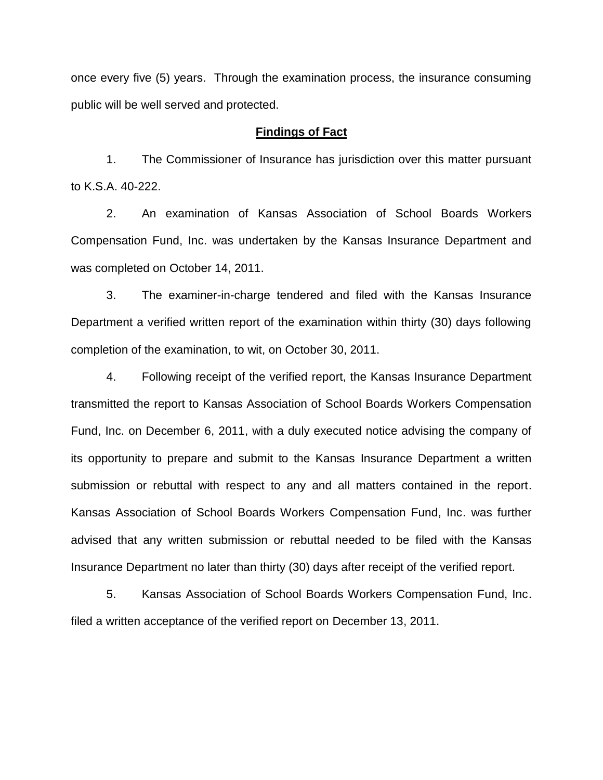once every five (5) years. Through the examination process, the insurance consuming public will be well served and protected.

#### **Findings of Fact**

1. The Commissioner of Insurance has jurisdiction over this matter pursuant to K.S.A. 40-222.

2. An examination of Kansas Association of School Boards Workers Compensation Fund, Inc. was undertaken by the Kansas Insurance Department and was completed on October 14, 2011.

3. The examiner-in-charge tendered and filed with the Kansas Insurance Department a verified written report of the examination within thirty (30) days following completion of the examination, to wit, on October 30, 2011.

4. Following receipt of the verified report, the Kansas Insurance Department transmitted the report to Kansas Association of School Boards Workers Compensation Fund, Inc. on December 6, 2011, with a duly executed notice advising the company of its opportunity to prepare and submit to the Kansas Insurance Department a written submission or rebuttal with respect to any and all matters contained in the report. Kansas Association of School Boards Workers Compensation Fund, Inc. was further advised that any written submission or rebuttal needed to be filed with the Kansas Insurance Department no later than thirty (30) days after receipt of the verified report.

5. Kansas Association of School Boards Workers Compensation Fund, Inc. filed a written acceptance of the verified report on December 13, 2011.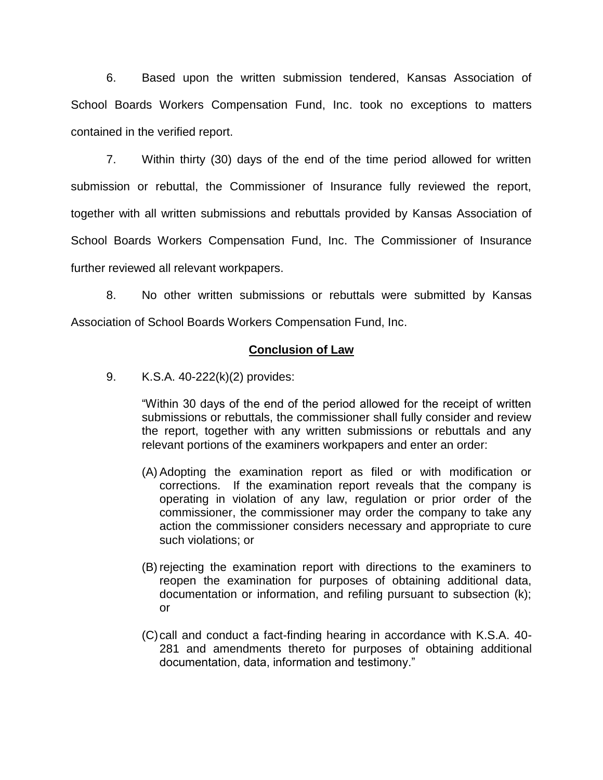6. Based upon the written submission tendered, Kansas Association of School Boards Workers Compensation Fund, Inc. took no exceptions to matters contained in the verified report.

7. Within thirty (30) days of the end of the time period allowed for written submission or rebuttal, the Commissioner of Insurance fully reviewed the report, together with all written submissions and rebuttals provided by Kansas Association of School Boards Workers Compensation Fund, Inc. The Commissioner of Insurance further reviewed all relevant workpapers.

8. No other written submissions or rebuttals were submitted by Kansas Association of School Boards Workers Compensation Fund, Inc.

## **Conclusion of Law**

9. K.S.A. 40-222(k)(2) provides:

"Within 30 days of the end of the period allowed for the receipt of written submissions or rebuttals, the commissioner shall fully consider and review the report, together with any written submissions or rebuttals and any relevant portions of the examiners workpapers and enter an order:

- (A) Adopting the examination report as filed or with modification or corrections. If the examination report reveals that the company is operating in violation of any law, regulation or prior order of the commissioner, the commissioner may order the company to take any action the commissioner considers necessary and appropriate to cure such violations; or
- (B) rejecting the examination report with directions to the examiners to reopen the examination for purposes of obtaining additional data, documentation or information, and refiling pursuant to subsection (k); or
- (C)call and conduct a fact-finding hearing in accordance with K.S.A. 40- 281 and amendments thereto for purposes of obtaining additional documentation, data, information and testimony."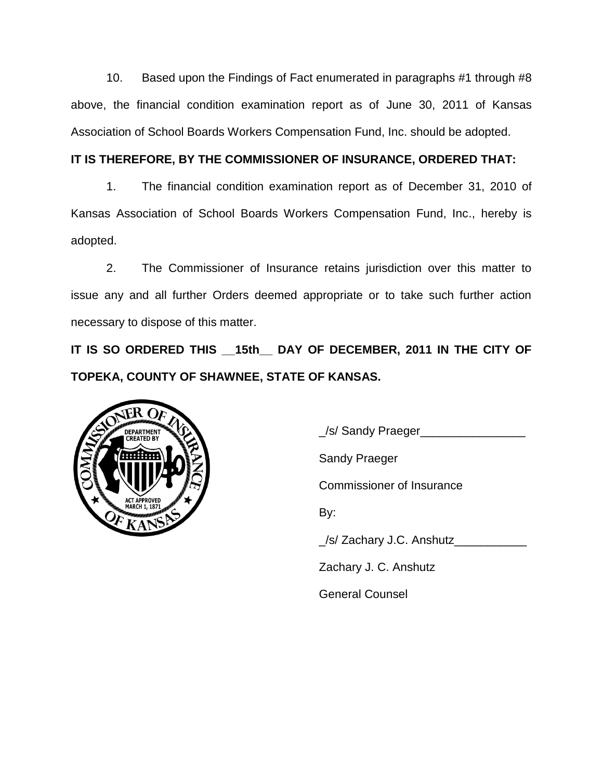10. Based upon the Findings of Fact enumerated in paragraphs #1 through #8 above, the financial condition examination report as of June 30, 2011 of Kansas Association of School Boards Workers Compensation Fund, Inc. should be adopted.

# **IT IS THEREFORE, BY THE COMMISSIONER OF INSURANCE, ORDERED THAT:**

1. The financial condition examination report as of December 31, 2010 of Kansas Association of School Boards Workers Compensation Fund, Inc., hereby is adopted.

2. The Commissioner of Insurance retains jurisdiction over this matter to issue any and all further Orders deemed appropriate or to take such further action necessary to dispose of this matter.

**IT IS SO ORDERED THIS \_\_15th\_\_ DAY OF DECEMBER, 2011 IN THE CITY OF TOPEKA, COUNTY OF SHAWNEE, STATE OF KANSAS.**



\_/s/ Sandy Praeger\_\_\_\_\_\_\_\_\_\_\_\_\_\_\_\_

Sandy Praeger

Commissioner of Insurance

By:

\_/s/ Zachary J.C. Anshutz\_\_\_\_\_\_\_\_\_\_\_

Zachary J. C. Anshutz

General Counsel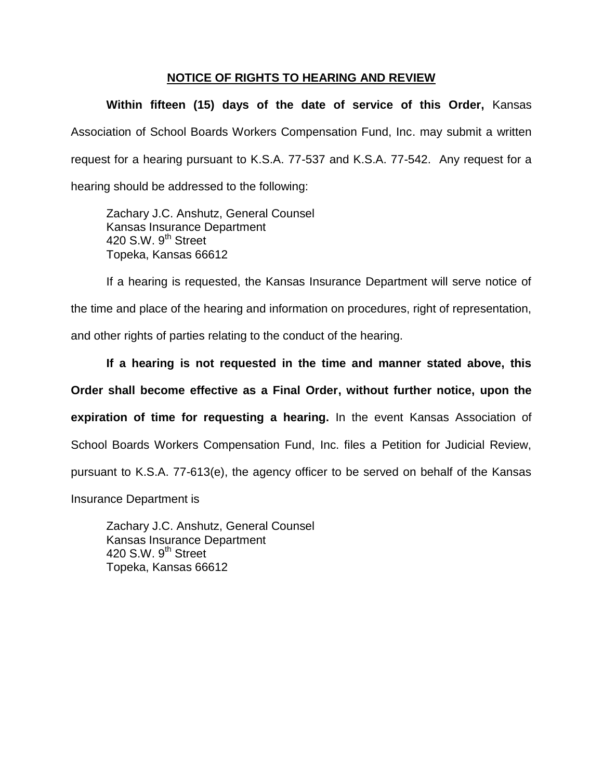## **NOTICE OF RIGHTS TO HEARING AND REVIEW**

**Within fifteen (15) days of the date of service of this Order,** Kansas Association of School Boards Workers Compensation Fund, Inc. may submit a written request for a hearing pursuant to K.S.A. 77-537 and K.S.A. 77-542. Any request for a hearing should be addressed to the following:

Zachary J.C. Anshutz, General Counsel Kansas Insurance Department 420 S.W. 9<sup>th</sup> Street Topeka, Kansas 66612

If a hearing is requested, the Kansas Insurance Department will serve notice of the time and place of the hearing and information on procedures, right of representation, and other rights of parties relating to the conduct of the hearing.

**If a hearing is not requested in the time and manner stated above, this Order shall become effective as a Final Order, without further notice, upon the expiration of time for requesting a hearing.** In the event Kansas Association of School Boards Workers Compensation Fund, Inc. files a Petition for Judicial Review, pursuant to K.S.A. 77-613(e), the agency officer to be served on behalf of the Kansas

Insurance Department is

Zachary J.C. Anshutz, General Counsel Kansas Insurance Department 420 S.W.  $9^{th}$  Street Topeka, Kansas 66612